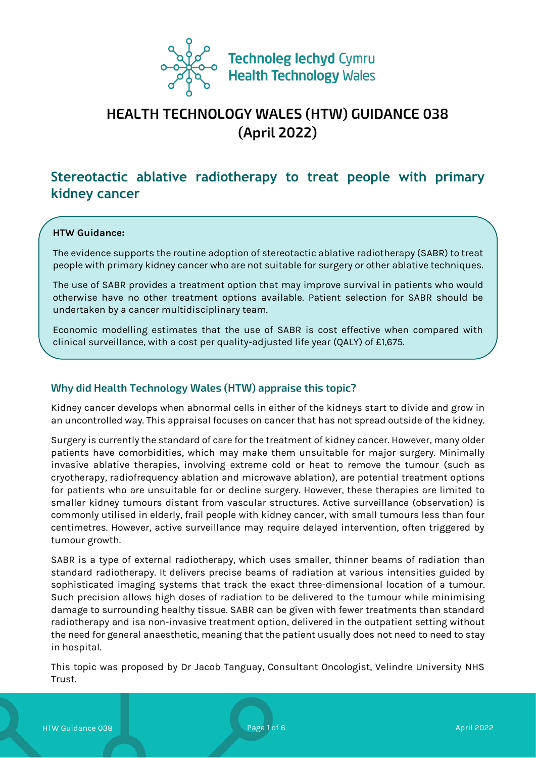

# **HEALTH TECHNOLOGY WALES (HTW) GUIDANCE 038 (April 2022)**

# **Stereotactic ablative radiotherapy to treat people with primary kidney cancer**

#### **HTW Guidance:**

The evidence supports the routine adoption of stereotactic ablative radiotherapy (SABR) to treat people with primary kidney cancer who are not suitable for surgery or other ablative techniques.

The use of SABR provides a treatment option that may improve survival in patients who would otherwise have no other treatment options available. Patient selection for SABR should be undertaken by a cancer multidisciplinary team.

Economic modelling estimates that the use of SABR is cost effective when compared with clinical surveillance, with a cost per quality-adjusted life year (QALY) of £1,675.

#### **Why did Health Technology Wales (HTW) appraise this topic?**

Kidney cancer develops when abnormal cells in either of the kidneys start to divide and grow in an uncontrolled way. This appraisal focuses on cancer that has not spread outside of the kidney.

Surgery is currently the standard of care for the treatment of kidney cancer. However, many older patients have comorbidities, which may make them unsuitable for major surgery. Minimally invasive ablative therapies, involving extreme cold or heat to remove the tumour (such as cryotherapy, radiofrequency ablation and microwave ablation), are potential treatment options for patients who are unsuitable for or decline surgery. However, these therapies are limited to smaller kidney tumours distant from vascular structures. Active surveillance (observation) is commonly utilised in elderly, frail people with kidney cancer, with small tumours less than four centimetres. However, active surveillance may require delayed intervention, often triggered by tumour growth.

SABR is a type of external radiotherapy, which uses smaller, thinner beams of radiation than standard radiotherapy. It delivers precise beams of radiation at various intensities guided by sophisticated imaging systems that track the exact three-dimensional location of a tumour. Such precision allows high doses of radiation to be delivered to the tumour while minimising damage to surrounding healthy tissue. SABR can be given with fewer treatments than standard radiotherapy and isa non-invasive treatment option, delivered in the outpatient setting without the need for general anaesthetic, meaning that the patient usually does not need to need to stay in hospital.

This topic was proposed by Dr Jacob Tanguay, Consultant Oncologist, Velindre University NHS Trust.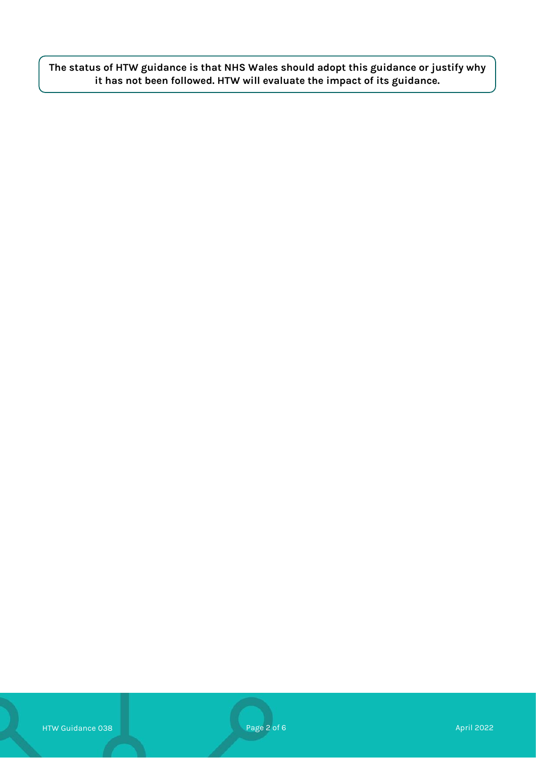**The status of HTW guidance is that NHS Wales should adopt this guidance or justify why it has not been followed. HTW will evaluate the impact of its guidance.**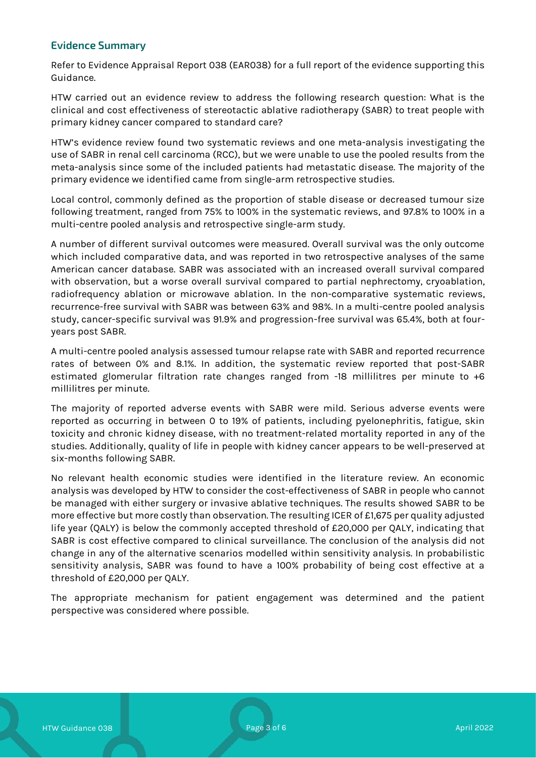# **Evidence Summary**

Refer to Evidence Appraisal Report 038 (EAR038) for a full report of the evidence supporting this Guidance.

HTW carried out an evidence review to address the following research question: What is the clinical and cost effectiveness of stereotactic ablative radiotherapy (SABR) to treat people with primary kidney cancer compared to standard care?

HTW's evidence review found two systematic reviews and one meta-analysis investigating the use of SABR in renal cell carcinoma (RCC), but we were unable to use the pooled results from the meta-analysis since some of the included patients had metastatic disease. The majority of the primary evidence we identified came from single-arm retrospective studies.

Local control, commonly defined as the proportion of stable disease or decreased tumour size following treatment, ranged from 75% to 100% in the systematic reviews, and 97.8% to 100% in a multi-centre pooled analysis and retrospective single-arm study.

A number of different survival outcomes were measured. Overall survival was the only outcome which included comparative data, and was reported in two retrospective analyses of the same American cancer database. SABR was associated with an increased overall survival compared with observation, but a worse overall survival compared to partial nephrectomy, cryoablation, radiofrequency ablation or microwave ablation. In the non-comparative systematic reviews, recurrence-free survival with SABR was between 63% and 98%. In a multi-centre pooled analysis study, cancer-specific survival was 91.9% and progression-free survival was 65.4%, both at fouryears post SABR.

A multi-centre pooled analysis assessed tumour relapse rate with SABR and reported recurrence rates of between 0% and 8.1%. In addition, the systematic review reported that post-SABR estimated glomerular filtration rate changes ranged from -18 millilitres per minute to +6 millilitres per minute.

The majority of reported adverse events with SABR were mild. Serious adverse events were reported as occurring in between 0 to 19% of patients, including pyelonephritis, fatigue, skin toxicity and chronic kidney disease, with no treatment-related mortality reported in any of the studies. Additionally, quality of life in people with kidney cancer appears to be well-preserved at six-months following SABR.

No relevant health economic studies were identified in the literature review. An economic analysis was developed by HTW to consider the cost-effectiveness of SABR in people who cannot be managed with either surgery or invasive ablative techniques. The results showed SABR to be more effective but more costly than observation. The resulting ICER of £1,675 per quality adjusted life year (QALY) is below the commonly accepted threshold of £20,000 per QALY, indicating that SABR is cost effective compared to clinical surveillance. The conclusion of the analysis did not change in any of the alternative scenarios modelled within sensitivity analysis. In probabilistic sensitivity analysis, SABR was found to have a 100% probability of being cost effective at a threshold of £20,000 per QALY.

The appropriate mechanism for patient engagement was determined and the patient perspective was considered where possible.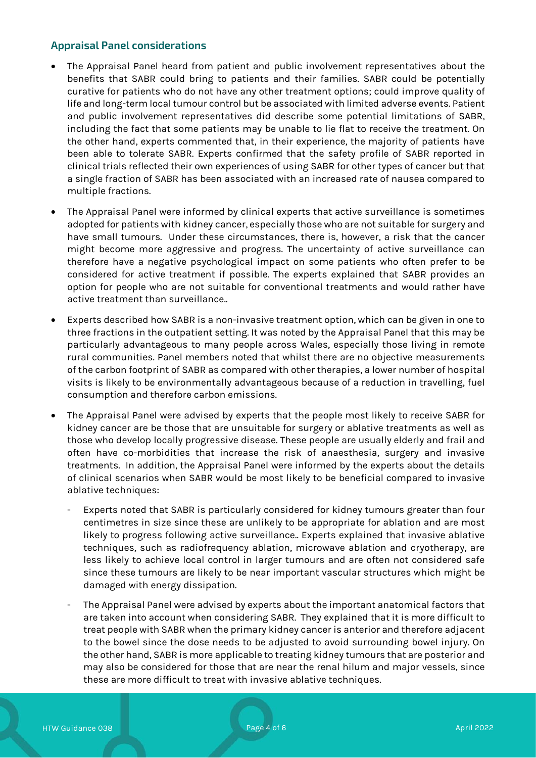# **Appraisal Panel considerations**

- The Appraisal Panel heard from patient and public involvement representatives about the benefits that SABR could bring to patients and their families. SABR could be potentially curative for patients who do not have any other treatment options; could improve quality of life and long-term local tumour control but be associated with limited adverse events. Patient and public involvement representatives did describe some potential limitations of SABR, including the fact that some patients may be unable to lie flat to receive the treatment. On the other hand, experts commented that, in their experience, the majority of patients have been able to tolerate SABR. Experts confirmed that the safety profile of SABR reported in clinical trials reflected their own experiences of using SABR for other types of cancer but that a single fraction of SABR has been associated with an increased rate of nausea compared to multiple fractions.
- The Appraisal Panel were informed by clinical experts that active surveillance is sometimes adopted for patients with kidney cancer, especially those who are not suitable for surgery and have small tumours. Under these circumstances, there is, however, a risk that the cancer might become more aggressive and progress. The uncertainty of active surveillance can therefore have a negative psychological impact on some patients who often prefer to be considered for active treatment if possible. The experts explained that SABR provides an option for people who are not suitable for conventional treatments and would rather have active treatment than surveillance..
- Experts described how SABR is a non-invasive treatment option, which can be given in one to three fractions in the outpatient setting. It was noted by the Appraisal Panel that this may be particularly advantageous to many people across Wales, especially those living in remote rural communities. Panel members noted that whilst there are no objective measurements of the carbon footprint of SABR as compared with other therapies, a lower number of hospital visits is likely to be environmentally advantageous because of a reduction in travelling, fuel consumption and therefore carbon emissions.
- The Appraisal Panel were advised by experts that the people most likely to receive SABR for kidney cancer are be those that are unsuitable for surgery or ablative treatments as well as those who develop locally progressive disease. These people are usually elderly and frail and often have co-morbidities that increase the risk of anaesthesia, surgery and invasive treatments. In addition, the Appraisal Panel were informed by the experts about the details of clinical scenarios when SABR would be most likely to be beneficial compared to invasive ablative techniques:
	- Experts noted that SABR is particularly considered for kidney tumours greater than four centimetres in size since these are unlikely to be appropriate for ablation and are most likely to progress following active surveillance.. Experts explained that invasive ablative techniques, such as radiofrequency ablation, microwave ablation and cryotherapy, are less likely to achieve local control in larger tumours and are often not considered safe since these tumours are likely to be near important vascular structures which might be damaged with energy dissipation.
	- The Appraisal Panel were advised by experts about the important anatomical factors that are taken into account when considering SABR. They explained that it is more difficult to treat people with SABR when the primary kidney cancer is anterior and therefore adjacent to the bowel since the dose needs to be adjusted to avoid surrounding bowel injury. On the other hand, SABR is more applicable to treating kidney tumours that are posterior and may also be considered for those that are near the renal hilum and major vessels, since these are more difficult to treat with invasive ablative techniques.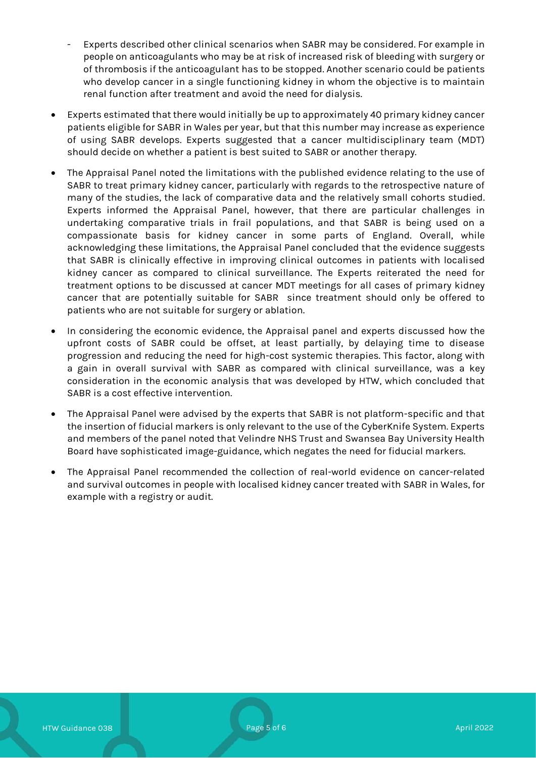- Experts described other clinical scenarios when SABR may be considered. For example in people on anticoagulants who may be at risk of increased risk of bleeding with surgery or of thrombosis if the anticoagulant has to be stopped. Another scenario could be patients who develop cancer in a single functioning kidney in whom the objective is to maintain renal function after treatment and avoid the need for dialysis.
- Experts estimated that there would initially be up to approximately 40 primary kidney cancer patients eligible for SABR in Wales per year, but that this number may increase as experience of using SABR develops. Experts suggested that a cancer multidisciplinary team (MDT) should decide on whether a patient is best suited to SABR or another therapy.
- The Appraisal Panel noted the limitations with the published evidence relating to the use of SABR to treat primary kidney cancer, particularly with regards to the retrospective nature of many of the studies, the lack of comparative data and the relatively small cohorts studied. Experts informed the Appraisal Panel, however, that there are particular challenges in undertaking comparative trials in frail populations, and that SABR is being used on a compassionate basis for kidney cancer in some parts of England. Overall, while acknowledging these limitations, the Appraisal Panel concluded that the evidence suggests that SABR is clinically effective in improving clinical outcomes in patients with localised kidney cancer as compared to clinical surveillance. The Experts reiterated the need for treatment options to be discussed at cancer MDT meetings for all cases of primary kidney cancer that are potentially suitable for SABR since treatment should only be offered to patients who are not suitable for surgery or ablation.
- In considering the economic evidence, the Appraisal panel and experts discussed how the upfront costs of SABR could be offset, at least partially, by delaying time to disease progression and reducing the need for high-cost systemic therapies. This factor, along with a gain in overall survival with SABR as compared with clinical surveillance, was a key consideration in the economic analysis that was developed by HTW, which concluded that SABR is a cost effective intervention.
- The Appraisal Panel were advised by the experts that SABR is not platform-specific and that the insertion of fiducial markers is only relevant to the use of the CyberKnife System. Experts and members of the panel noted that Velindre NHS Trust and Swansea Bay University Health Board have sophisticated image-guidance, which negates the need for fiducial markers.
- The Appraisal Panel recommended the collection of real-world evidence on cancer-related and survival outcomes in people with localised kidney cancer treated with SABR in Wales, for example with a registry or audit.